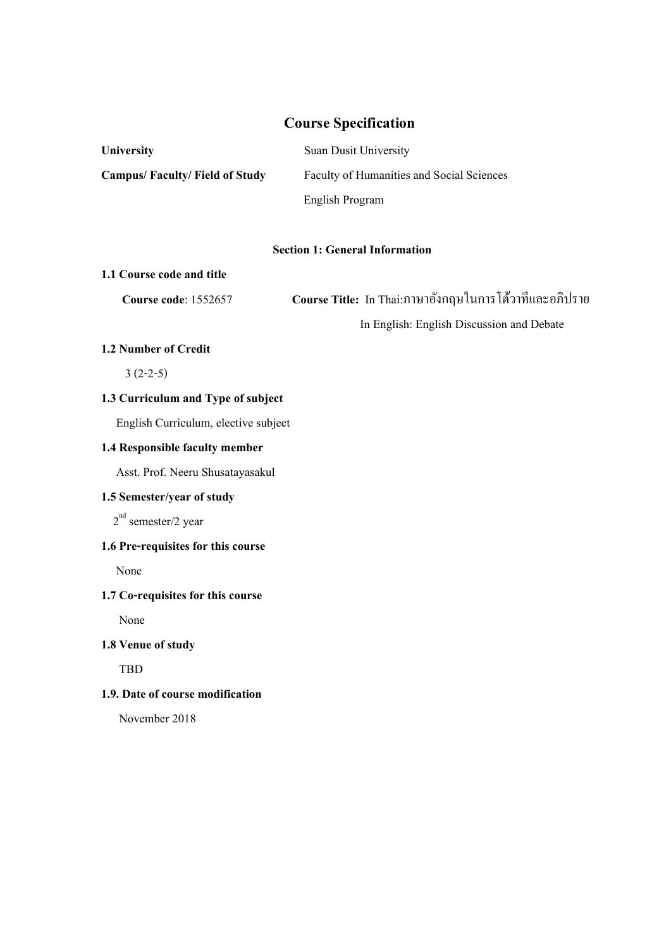# **Course Specification**

| <b>University</b>                    | <b>Suan Dusit University</b>              |
|--------------------------------------|-------------------------------------------|
| <b>Campus/Faculty/Field of Study</b> | Faculty of Humanities and Social Sciences |
|                                      | English Program                           |

#### **Section 1: General Information**

#### **1.1 Course code and title**

 **Course code**: 1552657 **Course Title:** In Thai:ภาษาอังกฤษในการโต้วาทีและอภิปราย In English: English Discussion and Debate

# **1.2 Number of Credit**

3 (2-2-5)

# **1.3 Curriculum and Type of subject**

English Curriculum, elective subject

## **1.4 Responsible faculty member**

Asst. Prof. Neeru Shusatayasakul

# **1.5 Semester/year of study**

2<sup>nd</sup> semester/2 year

# **1.6 Pre-requisites for this course**

None

# **1.7 Co-requisites for this course**

None

#### **1.8 Venue of study**

TBD

# **1.9. Date of course modification**

November 2018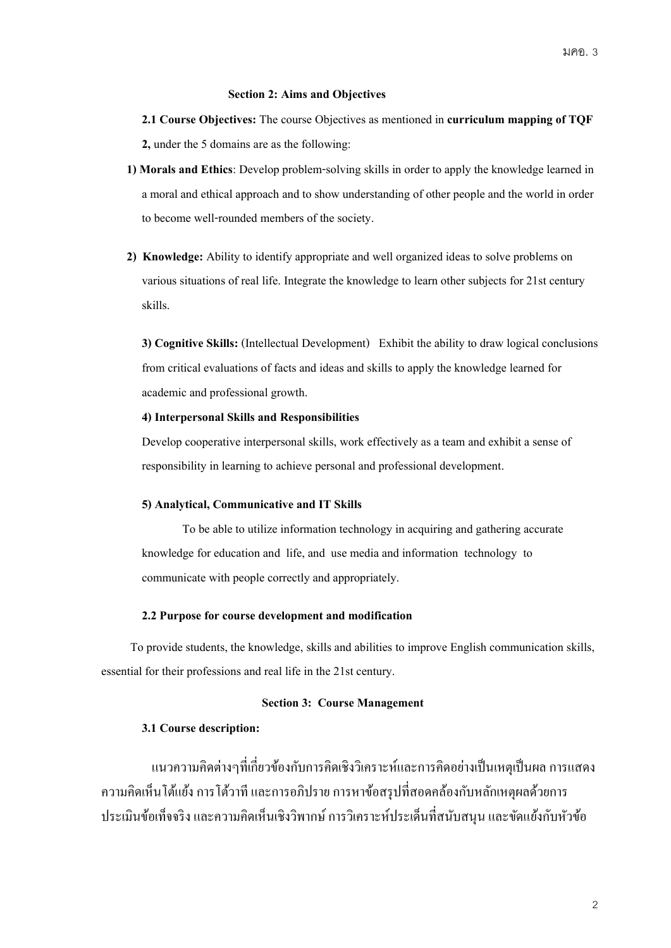#### **Section 2: Aims and Objectives**

**2.1 Course Objectives:** The course Objectives as mentioned in **curriculum mapping of TQF 2,** under the 5 domains are as the following:

- **1) Morals and Ethics**: Develop problem-solving skills in order to apply the knowledge learned in a moral and ethical approach and to show understanding of other people and the world in order to become well-rounded members of the society.
- **2) Knowledge:** Ability to identify appropriate and well organized ideas to solve problems on various situations of real life. Integrate the knowledge to learn other subjects for 21st century skills.

**3) Cognitive Skills:** (Intellectual Development) Exhibit the ability to draw logical conclusions from critical evaluations of facts and ideas and skills to apply the knowledge learned for academic and professional growth.

#### **4) Interpersonal Skills and Responsibilities**

Develop cooperative interpersonal skills, work effectively as a team and exhibit a sense of responsibility in learning to achieve personal and professional development.

#### **5) Analytical, Communicative and IT Skills**

To be able to utilize information technology in acquiring and gathering accurate knowledge for education and life, and use media and information technology to communicate with people correctly and appropriately.

#### **2.2 Purpose for course development and modification**

 To provide students, the knowledge, skills and abilities to improve English communication skills, essential for their professions and real life in the 21st century.

#### **Section 3: Course Management**

# **3.1 Course description:**

แนวความคิดต่างๆที่เกี่ยวข้องกับการคิดเชิงวิเคราะห์และการคิดอย่างเป็นเหตุเป็นผล การแสดง ้ ความคิดเห็นโต้แย้ง การโต้วาที และการอภิปราย การหาข้อสรุปที่สอดคล้องกับหลักเหตุผลด้วยการ ้ ประเมินข้อเท็จจริง และความคิดเห็นเชิงวิพากษ์ การวิเคราะห์ประเด็นที่สนับสนุน และขัดแย้งกับหัวข้อ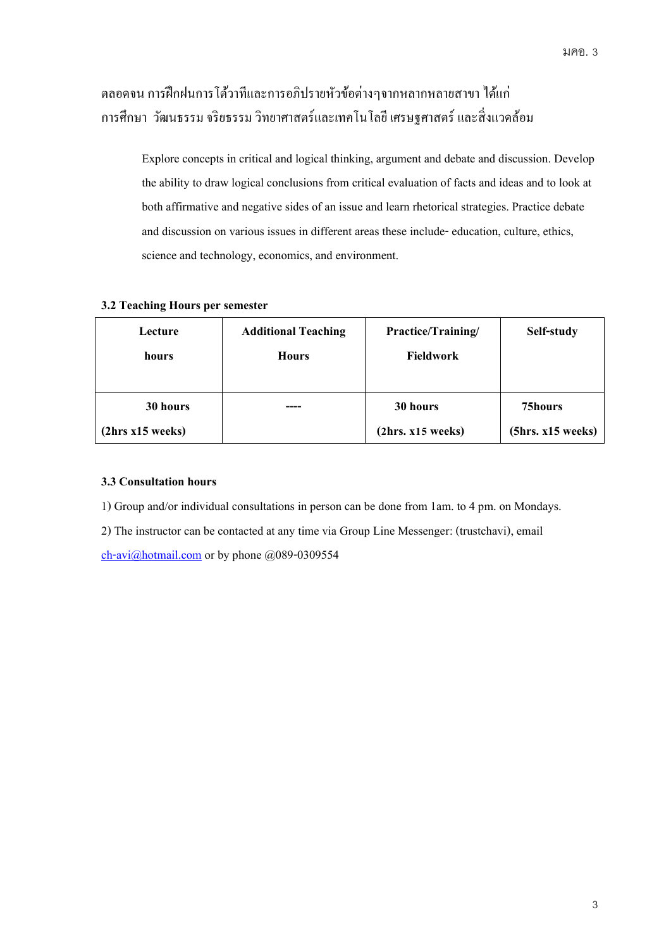# ้ตลอดจน การฝึกฝนการโต้วาทีและการอภิปรายหัวข้อต่างๆจากหลากหลายสาขา ได้แก่ ึการศึกษา วัฒนธรรม จริยธรรม วิทยาศาสตร์และเทคโนโลยี เศรษฐศาสตร์ และสิ่งแวดล้อม

Explore concepts in critical and logical thinking, argument and debate and discussion. Develop the ability to draw logical conclusions from critical evaluation of facts and ideas and to look at both affirmative and negative sides of an issue and learn rhetorical strategies. Practice debate and discussion on various issues in different areas these include- education, culture, ethics, science and technology, economics, and environment.

## **3.2 Teaching Hours per semester**

| Lecture          | <b>Additional Teaching</b> | Practice/Training/ | Self-study        |
|------------------|----------------------------|--------------------|-------------------|
| hours            | <b>Hours</b>               | Fieldwork          |                   |
|                  |                            |                    |                   |
| 30 hours         |                            | 30 hours           | 75hours           |
| (2hrs x15 weeks) |                            | (2hrs. x15 weeks)  | (5hrs. x15 weeks) |

# **3.3 Consultation hours**

1) Group and/or individual consultations in person can be done from 1am. to 4 pm. on Mondays.

2) The instructor can be contacted at any time via Group Line Messenger: (trustchavi), email

[ch-avi@hotmail.com](mailto:ch-avi@hotmail.com) or by phone @089-0309554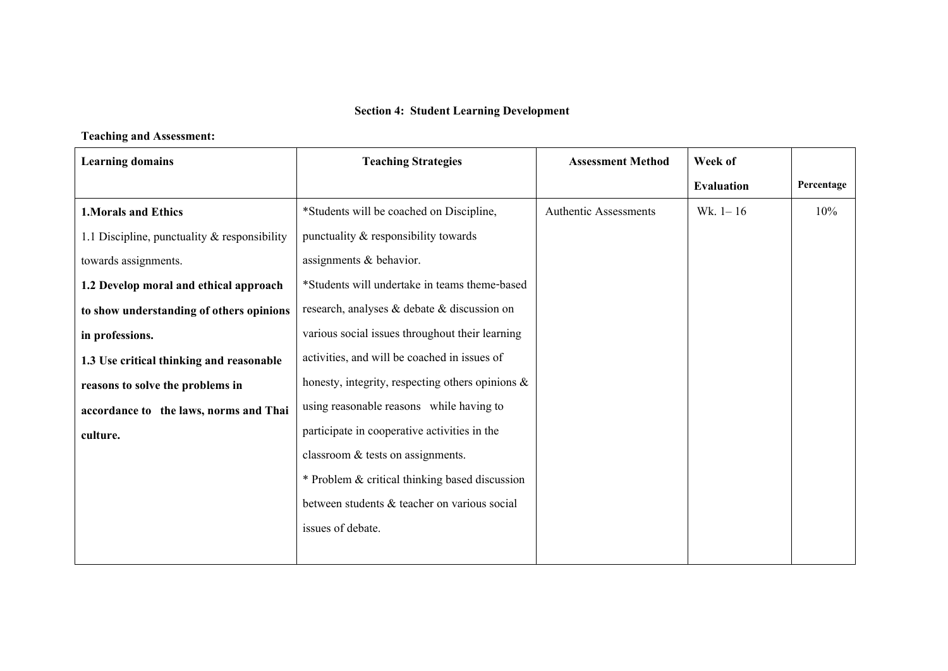# **Section4: Student Learning Development**

# **Teaching and Assessment:**

| <b>Learning domains</b>                         | <b>Teaching Strategies</b>                          | <b>Assessment Method</b>     | Week of           |            |
|-------------------------------------------------|-----------------------------------------------------|------------------------------|-------------------|------------|
|                                                 |                                                     |                              | <b>Evaluation</b> | Percentage |
| <b>1. Morals and Ethics</b>                     | *Students will be coached on Discipline,            | <b>Authentic Assessments</b> | Wk. $1 - 16$      | 10%        |
| 1.1 Discipline, punctuality $\&$ responsibility | punctuality & responsibility towards                |                              |                   |            |
| towards assignments.                            | assignments & behavior.                             |                              |                   |            |
| 1.2 Develop moral and ethical approach          | *Students will undertake in teams theme-based       |                              |                   |            |
| to show understanding of others opinions        | research, analyses & debate & discussion on         |                              |                   |            |
| in professions.                                 | various social issues throughout their learning     |                              |                   |            |
| 1.3 Use critical thinking and reasonable        | activities, and will be coached in issues of        |                              |                   |            |
| reasons to solve the problems in                | honesty, integrity, respecting others opinions $\&$ |                              |                   |            |
| accordance to the laws, norms and Thai          | using reasonable reasons while having to            |                              |                   |            |
| culture.                                        | participate in cooperative activities in the        |                              |                   |            |
|                                                 | classroom $&$ tests on assignments.                 |                              |                   |            |
|                                                 | * Problem & critical thinking based discussion      |                              |                   |            |
|                                                 | between students & teacher on various social        |                              |                   |            |
|                                                 | issues of debate.                                   |                              |                   |            |
|                                                 |                                                     |                              |                   |            |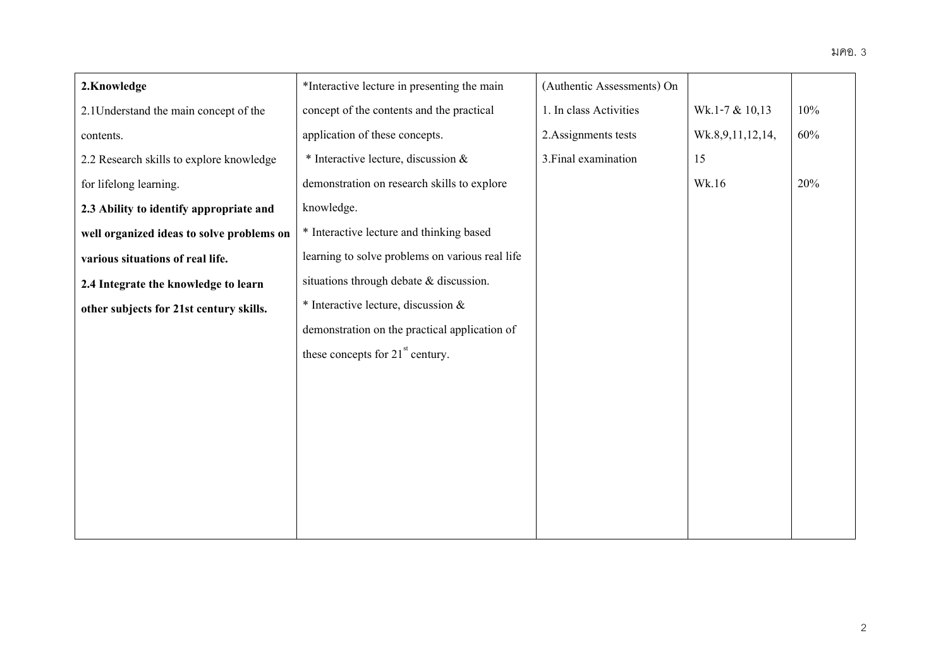| 2.Knowledge                               | *Interactive lecture in presenting the main     | (Authentic Assessments) On |                  |     |
|-------------------------------------------|-------------------------------------------------|----------------------------|------------------|-----|
| 2.1 Understand the main concept of the    | concept of the contents and the practical       | 1. In class Activities     | Wk.1-7 & 10,13   | 10% |
| contents.                                 | application of these concepts.                  | 2. Assignments tests       | Wk.8,9,11,12,14, | 60% |
| 2.2 Research skills to explore knowledge  | $*$ Interactive lecture, discussion $&$         | 3. Final examination       | 15               |     |
| for lifelong learning.                    | demonstration on research skills to explore     |                            | Wk.16            | 20% |
| 2.3 Ability to identify appropriate and   | knowledge.                                      |                            |                  |     |
| well organized ideas to solve problems on | * Interactive lecture and thinking based        |                            |                  |     |
| various situations of real life.          | learning to solve problems on various real life |                            |                  |     |
| 2.4 Integrate the knowledge to learn      | situations through debate & discussion.         |                            |                  |     |
| other subjects for 21st century skills.   | * Interactive lecture, discussion &             |                            |                  |     |
|                                           | demonstration on the practical application of   |                            |                  |     |
|                                           | these concepts for $21st$ century.              |                            |                  |     |
|                                           |                                                 |                            |                  |     |
|                                           |                                                 |                            |                  |     |
|                                           |                                                 |                            |                  |     |
|                                           |                                                 |                            |                  |     |
|                                           |                                                 |                            |                  |     |
|                                           |                                                 |                            |                  |     |
|                                           |                                                 |                            |                  |     |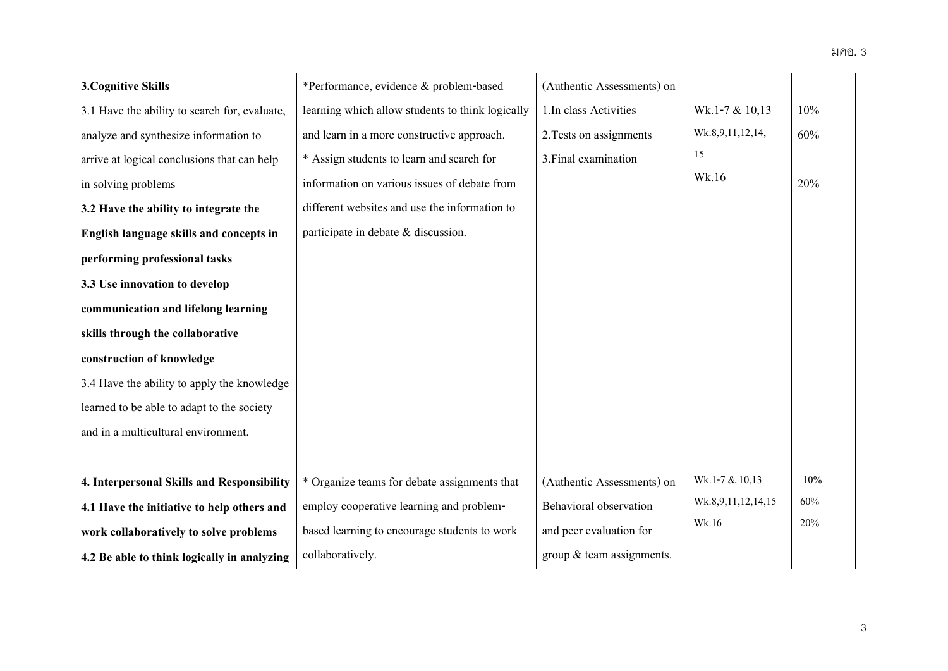| <b>3. Cognitive Skills</b>                    | *Performance, evidence & problem-based           | (Authentic Assessments) on  |                    |     |
|-----------------------------------------------|--------------------------------------------------|-----------------------------|--------------------|-----|
| 3.1 Have the ability to search for, evaluate, | learning which allow students to think logically | 1.In class Activities       | Wk.1-7 & 10,13     | 10% |
| analyze and synthesize information to         | and learn in a more constructive approach.       | 2. Tests on assignments     | Wk.8,9,11,12,14,   | 60% |
| arrive at logical conclusions that can help   | * Assign students to learn and search for        | 3. Final examination        | 15                 |     |
| in solving problems                           | information on various issues of debate from     |                             | Wk.16              | 20% |
| 3.2 Have the ability to integrate the         | different websites and use the information to    |                             |                    |     |
| English language skills and concepts in       | participate in debate $\&$ discussion.           |                             |                    |     |
| performing professional tasks                 |                                                  |                             |                    |     |
| 3.3 Use innovation to develop                 |                                                  |                             |                    |     |
| communication and lifelong learning           |                                                  |                             |                    |     |
| skills through the collaborative              |                                                  |                             |                    |     |
| construction of knowledge                     |                                                  |                             |                    |     |
| 3.4 Have the ability to apply the knowledge   |                                                  |                             |                    |     |
| learned to be able to adapt to the society    |                                                  |                             |                    |     |
| and in a multicultural environment.           |                                                  |                             |                    |     |
|                                               |                                                  |                             |                    |     |
| 4. Interpersonal Skills and Responsibility    | * Organize teams for debate assignments that     | (Authentic Assessments) on  | Wk.1-7 & 10,13     | 10% |
| 4.1 Have the initiative to help others and    | employ cooperative learning and problem-         | Behavioral observation      | Wk.8,9,11,12,14,15 | 60% |
| work collaboratively to solve problems        | based learning to encourage students to work     | and peer evaluation for     | Wk.16              | 20% |
| 4.2 Be able to think logically in analyzing   | collaboratively.                                 | group $&$ team assignments. |                    |     |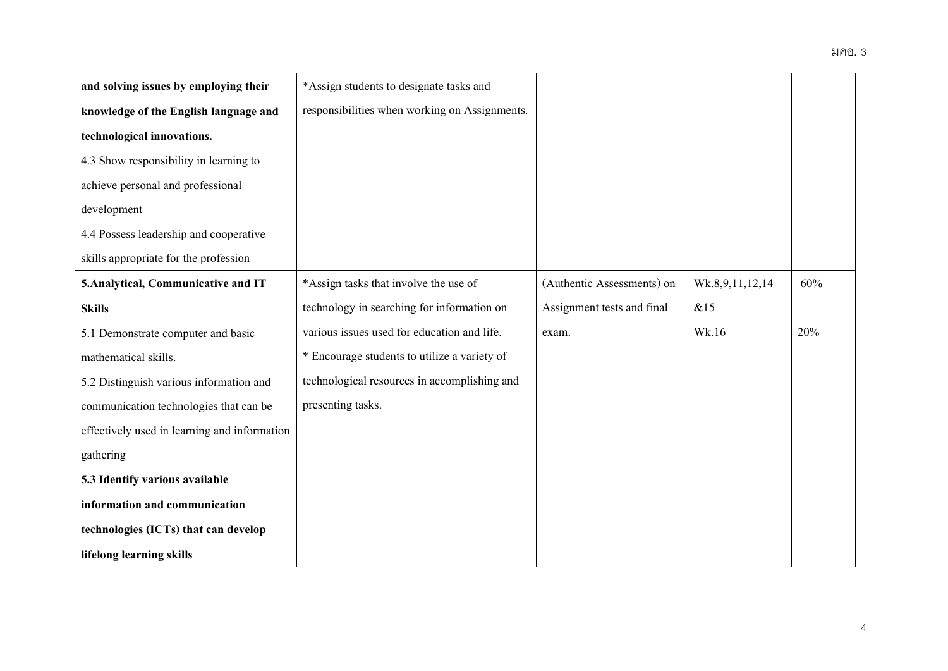| and solving issues by employing their        | *Assign students to designate tasks and       |                            |                 |     |
|----------------------------------------------|-----------------------------------------------|----------------------------|-----------------|-----|
| knowledge of the English language and        | responsibilities when working on Assignments. |                            |                 |     |
| technological innovations.                   |                                               |                            |                 |     |
| 4.3 Show responsibility in learning to       |                                               |                            |                 |     |
| achieve personal and professional            |                                               |                            |                 |     |
| development                                  |                                               |                            |                 |     |
| 4.4 Possess leadership and cooperative       |                                               |                            |                 |     |
| skills appropriate for the profession        |                                               |                            |                 |     |
| 5. Analytical, Communicative and IT          | *Assign tasks that involve the use of         | (Authentic Assessments) on | Wk.8,9,11,12,14 | 60% |
| <b>Skills</b>                                | technology in searching for information on    | Assignment tests and final | &15             |     |
| 5.1 Demonstrate computer and basic           | various issues used for education and life.   | exam.                      | Wk.16           | 20% |
| mathematical skills.                         | * Encourage students to utilize a variety of  |                            |                 |     |
| 5.2 Distinguish various information and      | technological resources in accomplishing and  |                            |                 |     |
| communication technologies that can be       | presenting tasks.                             |                            |                 |     |
| effectively used in learning and information |                                               |                            |                 |     |
| gathering                                    |                                               |                            |                 |     |
| 5.3 Identify various available               |                                               |                            |                 |     |
| information and communication                |                                               |                            |                 |     |
| technologies (ICTs) that can develop         |                                               |                            |                 |     |
| lifelong learning skills                     |                                               |                            |                 |     |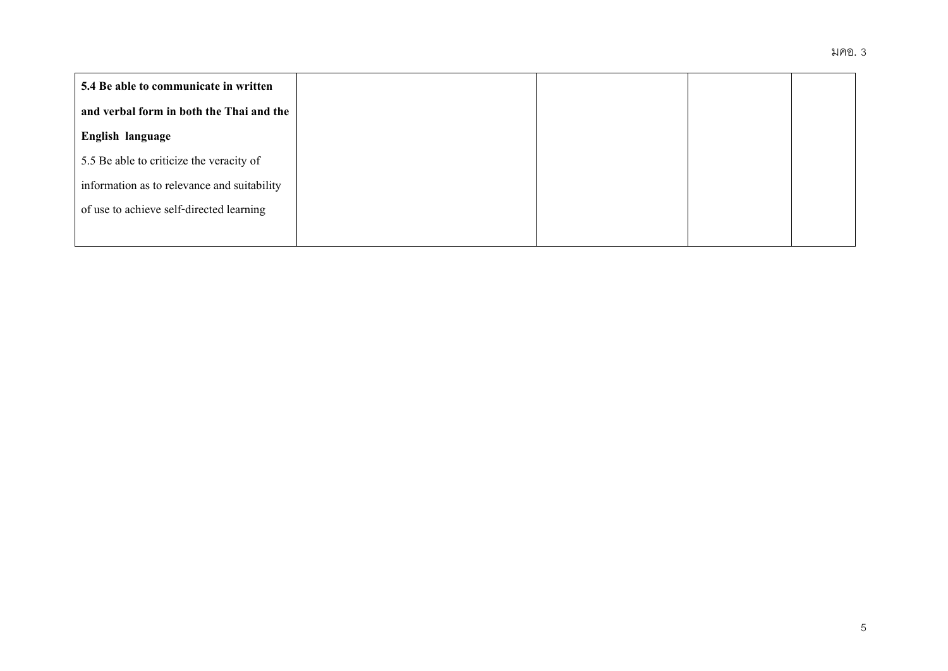| 5.4 Be able to communicate in written       |  |  |
|---------------------------------------------|--|--|
| and verbal form in both the Thai and the    |  |  |
| English language                            |  |  |
| 5.5 Be able to criticize the veracity of    |  |  |
| information as to relevance and suitability |  |  |
| of use to achieve self-directed learning    |  |  |
|                                             |  |  |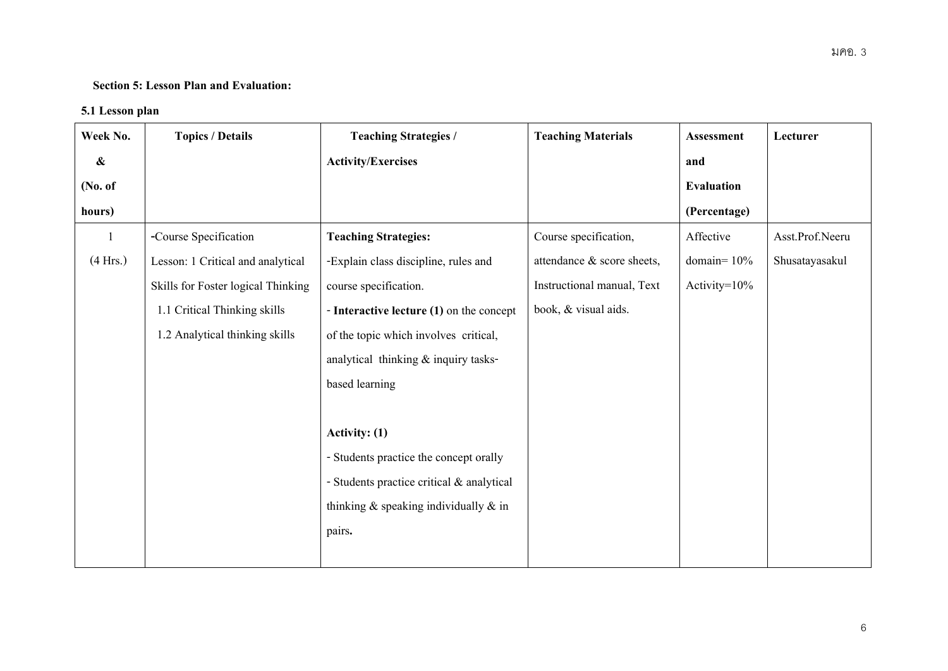# **Section5: Lesson Plan and Evaluation:**

# **5.1 Lesson plan**

| Week No.   | <b>Topics / Details</b>            | <b>Teaching Strategies /</b>                | <b>Teaching Materials</b>  | Assessment        | Lecturer        |
|------------|------------------------------------|---------------------------------------------|----------------------------|-------------------|-----------------|
| $\pmb{\&}$ |                                    | <b>Activity/Exercises</b>                   |                            | and               |                 |
| (No. of    |                                    |                                             |                            | <b>Evaluation</b> |                 |
| hours)     |                                    |                                             |                            | (Percentage)      |                 |
|            | -Course Specification              | <b>Teaching Strategies:</b>                 | Course specification,      | Affective         | Asst.Prof.Neeru |
| (4 Hrs.)   | Lesson: 1 Critical and analytical  | -Explain class discipline, rules and        | attendance & score sheets, | domain= $10%$     | Shusatayasakul  |
|            | Skills for Foster logical Thinking | course specification.                       | Instructional manual, Text | Activity= $10\%$  |                 |
|            | 1.1 Critical Thinking skills       | - Interactive lecture $(1)$ on the concept  | book, & visual aids.       |                   |                 |
|            | 1.2 Analytical thinking skills     | of the topic which involves critical,       |                            |                   |                 |
|            |                                    | analytical thinking & inquiry tasks-        |                            |                   |                 |
|            |                                    | based learning                              |                            |                   |                 |
|            |                                    |                                             |                            |                   |                 |
|            |                                    | Activity: (1)                               |                            |                   |                 |
|            |                                    | - Students practice the concept orally      |                            |                   |                 |
|            |                                    | - Students practice critical & analytical   |                            |                   |                 |
|            |                                    | thinking $\&$ speaking individually $\&$ in |                            |                   |                 |
|            |                                    | pairs.                                      |                            |                   |                 |
|            |                                    |                                             |                            |                   |                 |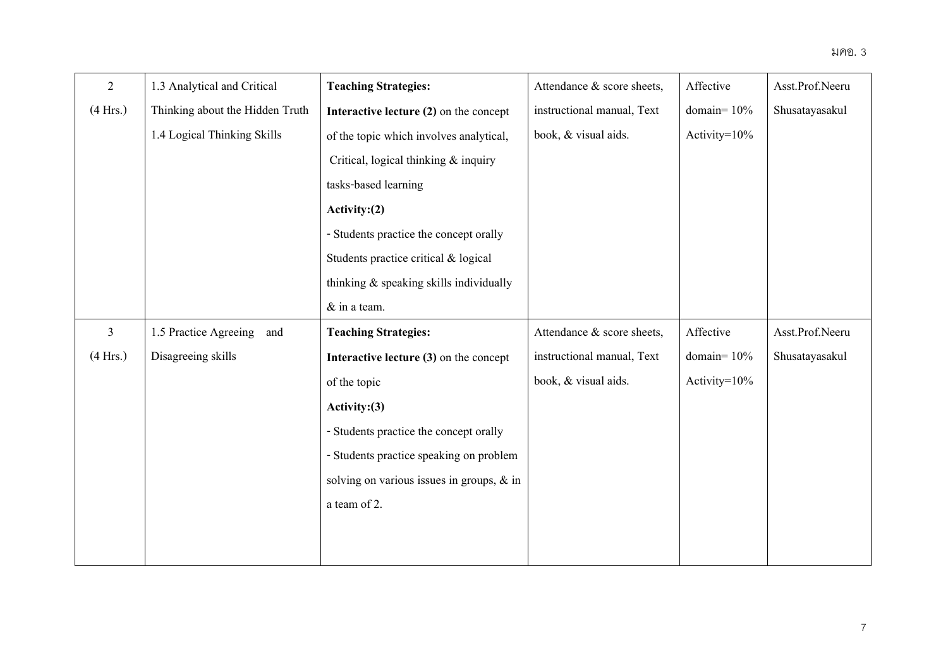| $\overline{2}$ | 1.3 Analytical and Critical     | <b>Teaching Strategies:</b>               | Attendance & score sheets, | Affective        | Asst.Prof.Neeru |
|----------------|---------------------------------|-------------------------------------------|----------------------------|------------------|-----------------|
| (4 Hrs.)       | Thinking about the Hidden Truth | Interactive lecture (2) on the concept    | instructional manual, Text | domain= $10%$    | Shusatayasakul  |
|                | 1.4 Logical Thinking Skills     | of the topic which involves analytical,   | book, & visual aids.       | Activity=10%     |                 |
|                |                                 | Critical, logical thinking & inquiry      |                            |                  |                 |
|                |                                 | tasks-based learning                      |                            |                  |                 |
|                |                                 | Activity: (2)                             |                            |                  |                 |
|                |                                 | - Students practice the concept orally    |                            |                  |                 |
|                |                                 | Students practice critical & logical      |                            |                  |                 |
|                |                                 | thinking & speaking skills individually   |                            |                  |                 |
|                |                                 | & in a team.                              |                            |                  |                 |
| $\mathfrak{Z}$ | 1.5 Practice Agreeing<br>and    | <b>Teaching Strategies:</b>               | Attendance & score sheets, | Affective        | Asst.Prof.Neeru |
| (4 Hrs.)       | Disagreeing skills              | Interactive lecture $(3)$ on the concept  | instructional manual, Text | domain= $10%$    | Shusatayasakul  |
|                |                                 | of the topic                              | book, & visual aids.       | Activity= $10\%$ |                 |
|                |                                 | Activity: $(3)$                           |                            |                  |                 |
|                |                                 | - Students practice the concept orally    |                            |                  |                 |
|                |                                 | - Students practice speaking on problem   |                            |                  |                 |
|                |                                 | solving on various issues in groups, & in |                            |                  |                 |
|                |                                 | a team of 2.                              |                            |                  |                 |
|                |                                 |                                           |                            |                  |                 |
|                |                                 |                                           |                            |                  |                 |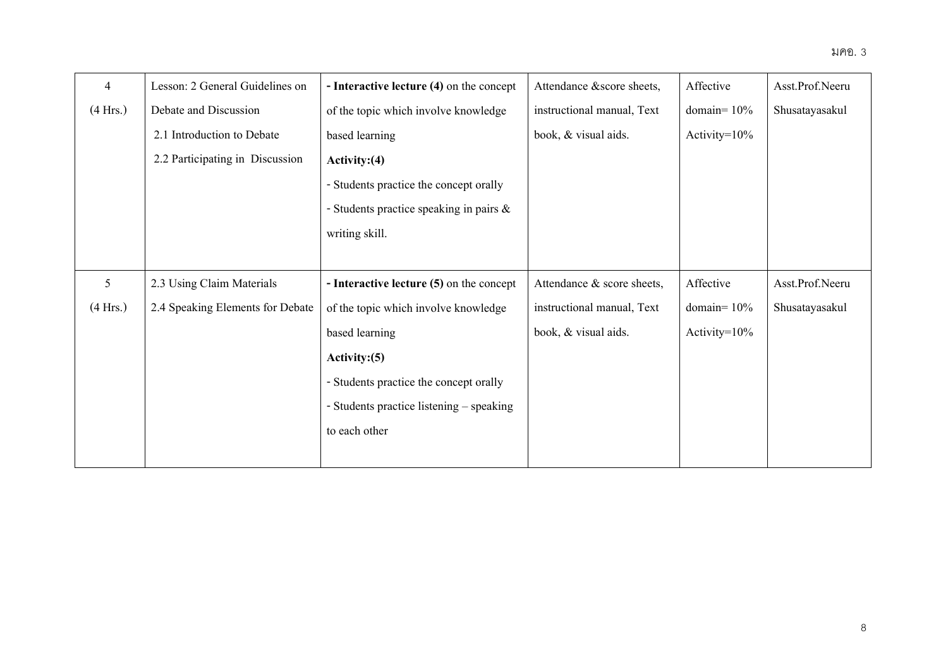| 4        | Lesson: 2 General Guidelines on  | - Interactive lecture $(4)$ on the concept | Attendance &score sheets,  | Affective        | Asst.Prof.Neeru |
|----------|----------------------------------|--------------------------------------------|----------------------------|------------------|-----------------|
| (4 Hrs.) | Debate and Discussion            | of the topic which involve knowledge       | instructional manual, Text | domain= $10\%$   | Shusatayasakul  |
|          | 2.1 Introduction to Debate       | based learning                             | book, & visual aids.       | Activity= $10\%$ |                 |
|          | 2.2 Participating in Discussion  | Activity: $(4)$                            |                            |                  |                 |
|          |                                  | - Students practice the concept orally     |                            |                  |                 |
|          |                                  | - Students practice speaking in pairs $\&$ |                            |                  |                 |
|          |                                  | writing skill.                             |                            |                  |                 |
|          |                                  |                                            |                            |                  |                 |
| 5        | 2.3 Using Claim Materials        | - Interactive lecture (5) on the concept   | Attendance & score sheets, | Affective        | Asst.Prof.Neeru |
| (4 Hrs.) | 2.4 Speaking Elements for Debate | of the topic which involve knowledge       | instructional manual, Text | domain= $10\%$   | Shusatayasakul  |
|          |                                  | based learning                             | book, & visual aids.       | Activity= $10\%$ |                 |
|          |                                  | Activity: $(5)$                            |                            |                  |                 |
|          |                                  | - Students practice the concept orally     |                            |                  |                 |
|          |                                  | - Students practice listening – speaking   |                            |                  |                 |
|          |                                  | to each other                              |                            |                  |                 |
|          |                                  |                                            |                            |                  |                 |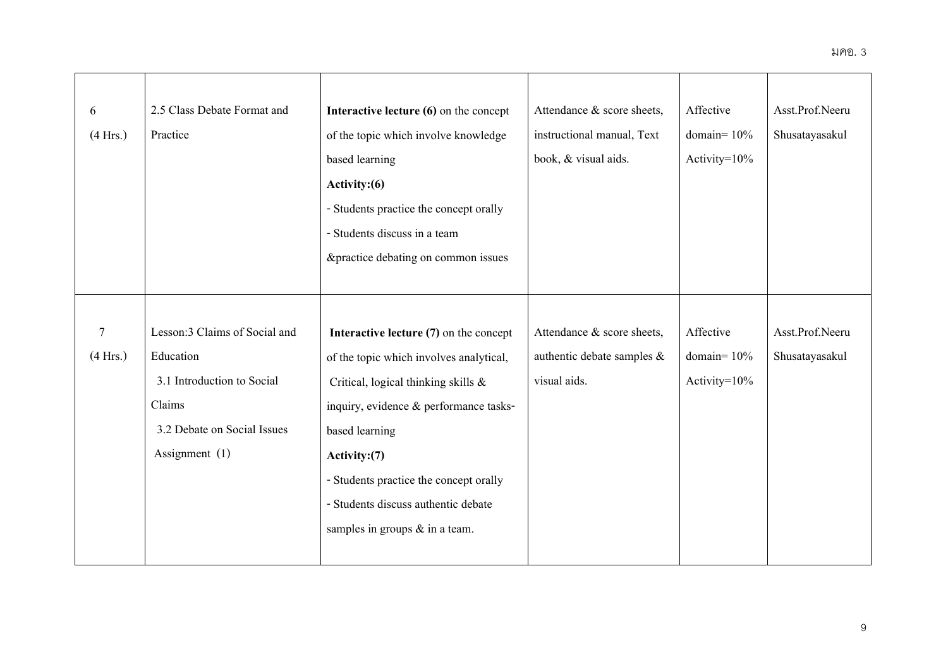| 6              | 2.5 Class Debate Format and   | Interactive lecture (6) on the concept   | Attendance & score sheets,    | Affective        | Asst.Prof.Neeru |
|----------------|-------------------------------|------------------------------------------|-------------------------------|------------------|-----------------|
| (4 Hrs.)       | Practice                      | of the topic which involve knowledge     | instructional manual, Text    | domain= $10%$    | Shusatayasakul  |
|                |                               | based learning                           | book, & visual aids.          | Activity=10%     |                 |
|                |                               | Activity: (6)                            |                               |                  |                 |
|                |                               | - Students practice the concept orally   |                               |                  |                 |
|                |                               | - Students discuss in a team             |                               |                  |                 |
|                |                               | &practice debating on common issues      |                               |                  |                 |
|                |                               |                                          |                               |                  |                 |
|                |                               |                                          |                               |                  |                 |
| $\overline{7}$ | Lesson:3 Claims of Social and | Interactive lecture $(7)$ on the concept | Attendance & score sheets,    | Affective        | Asst.Prof.Neeru |
| (4 Hrs.)       | Education                     | of the topic which involves analytical,  | authentic debate samples $\&$ | domain= $10%$    | Shusatayasakul  |
|                | 3.1 Introduction to Social    | Critical, logical thinking skills &      | visual aids.                  | Activity= $10\%$ |                 |
|                | Claims                        | inquiry, evidence & performance tasks-   |                               |                  |                 |
|                | 3.2 Debate on Social Issues   | based learning                           |                               |                  |                 |
|                | Assignment $(1)$              | Activity:(7)                             |                               |                  |                 |
|                |                               | - Students practice the concept orally   |                               |                  |                 |
|                |                               | - Students discuss authentic debate      |                               |                  |                 |
|                |                               | samples in groups $\&$ in a team.        |                               |                  |                 |
|                |                               |                                          |                               |                  |                 |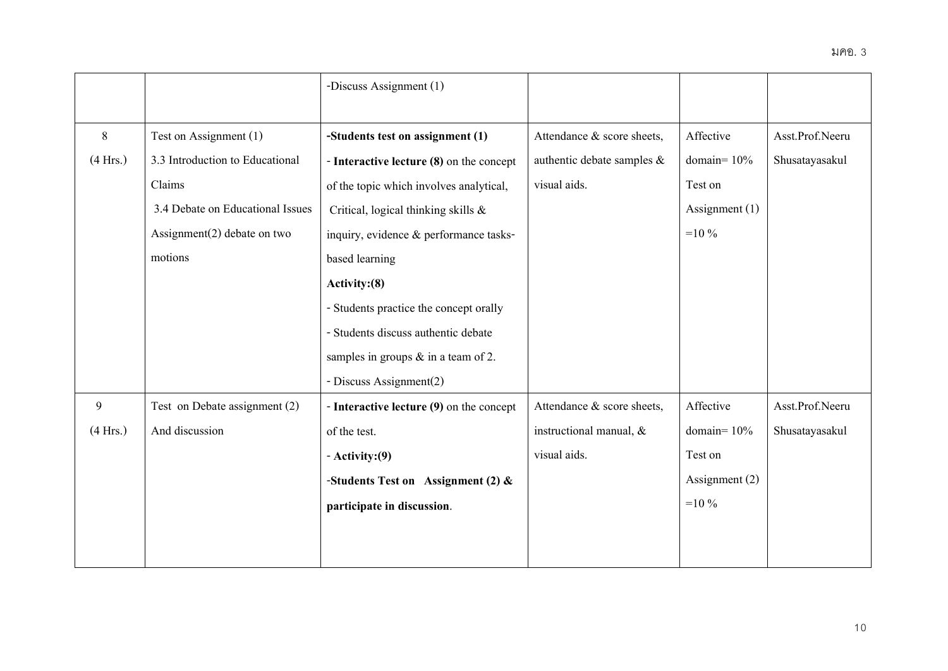|          |                                  | -Discuss Assignment (1)                  |                               |                  |                 |
|----------|----------------------------------|------------------------------------------|-------------------------------|------------------|-----------------|
|          |                                  |                                          |                               |                  |                 |
| 8        | Test on Assignment (1)           | -Students test on assignment (1)         | Attendance & score sheets,    | Affective        | Asst.Prof.Neeru |
| (4 Hrs.) | 3.3 Introduction to Educational  | - Interactive lecture (8) on the concept | authentic debate samples $\&$ | domain= $10%$    | Shusatayasakul  |
|          | Claims                           | of the topic which involves analytical,  | visual aids.                  | Test on          |                 |
|          | 3.4 Debate on Educational Issues | Critical, logical thinking skills &      |                               | Assignment $(1)$ |                 |
|          | Assignment $(2)$ debate on two   | inquiry, evidence & performance tasks-   |                               | $=10\%$          |                 |
|          | motions                          | based learning                           |                               |                  |                 |
|          |                                  | Activity: (8)                            |                               |                  |                 |
|          |                                  | - Students practice the concept orally   |                               |                  |                 |
|          |                                  | - Students discuss authentic debate      |                               |                  |                 |
|          |                                  | samples in groups $\&$ in a team of 2.   |                               |                  |                 |
|          |                                  | - Discuss Assignment(2)                  |                               |                  |                 |
| 9        | Test on Debate assignment (2)    | - Interactive lecture (9) on the concept | Attendance & score sheets,    | Affective        | Asst.Prof.Neeru |
| (4 Hrs.) | And discussion                   | of the test.                             | instructional manual, $\&$    | domain=10%       | Shusatayasakul  |
|          |                                  | $-$ Activity: $(9)$                      | visual aids.                  | Test on          |                 |
|          |                                  | -Students Test on Assignment (2) $\&$    |                               | Assignment (2)   |                 |
|          |                                  | participate in discussion.               |                               | $=10\%$          |                 |
|          |                                  |                                          |                               |                  |                 |
|          |                                  |                                          |                               |                  |                 |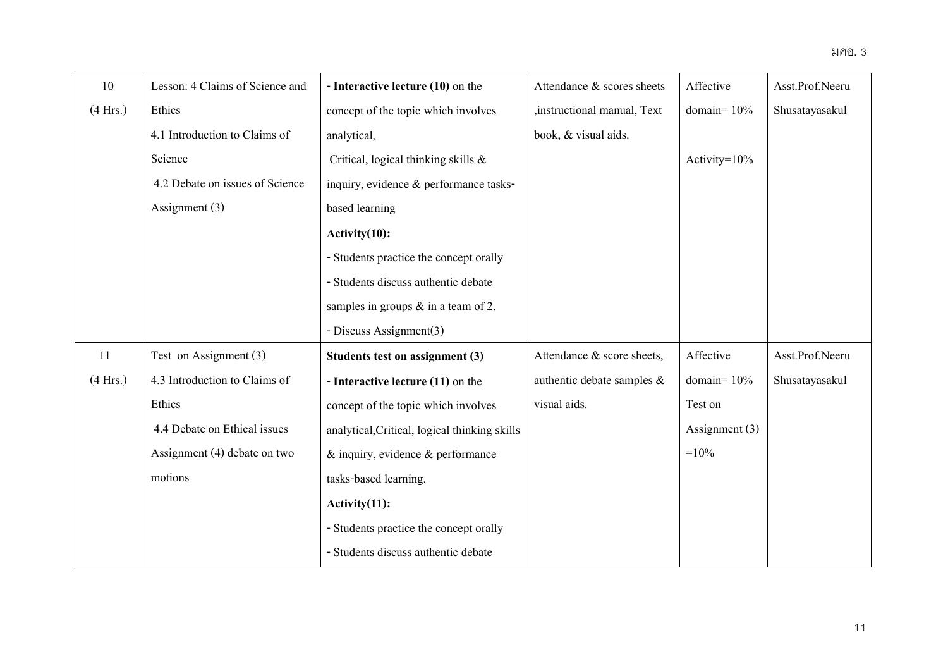| 10       | Lesson: 4 Claims of Science and | - Interactive lecture (10) on the             | Attendance & scores sheets    | Affective        | Asst.Prof.Neeru |
|----------|---------------------------------|-----------------------------------------------|-------------------------------|------------------|-----------------|
| (4 Hrs.) | Ethics                          | concept of the topic which involves           | ,instructional manual, Text   | domain= $10%$    | Shusatayasakul  |
|          | 4.1 Introduction to Claims of   | analytical,                                   | book, & visual aids.          |                  |                 |
|          | Science                         | Critical, logical thinking skills &           |                               | Activity= $10\%$ |                 |
|          | 4.2 Debate on issues of Science | inquiry, evidence & performance tasks-        |                               |                  |                 |
|          | Assignment (3)                  | based learning                                |                               |                  |                 |
|          |                                 | Activity(10):                                 |                               |                  |                 |
|          |                                 | - Students practice the concept orally        |                               |                  |                 |
|          |                                 | - Students discuss authentic debate           |                               |                  |                 |
|          |                                 | samples in groups $\&$ in a team of 2.        |                               |                  |                 |
|          |                                 | - Discuss Assignment(3)                       |                               |                  |                 |
| 11       | Test on Assignment (3)          | Students test on assignment (3)               | Attendance & score sheets,    | Affective        | Asst.Prof.Neeru |
| (4 Hrs.) | 4.3 Introduction to Claims of   | - Interactive lecture (11) on the             | authentic debate samples $\&$ | domain= $10%$    | Shusatayasakul  |
|          | Ethics                          | concept of the topic which involves           | visual aids.                  | Test on          |                 |
|          | 4.4 Debate on Ethical issues    | analytical, Critical, logical thinking skills |                               | Assignment (3)   |                 |
|          | Assignment (4) debate on two    | $\&$ inquiry, evidence $\&$ performance       |                               | $=10%$           |                 |
|          | motions                         | tasks-based learning.                         |                               |                  |                 |
|          |                                 | $Activity(11)$ :                              |                               |                  |                 |
|          |                                 | - Students practice the concept orally        |                               |                  |                 |
|          |                                 | - Students discuss authentic debate           |                               |                  |                 |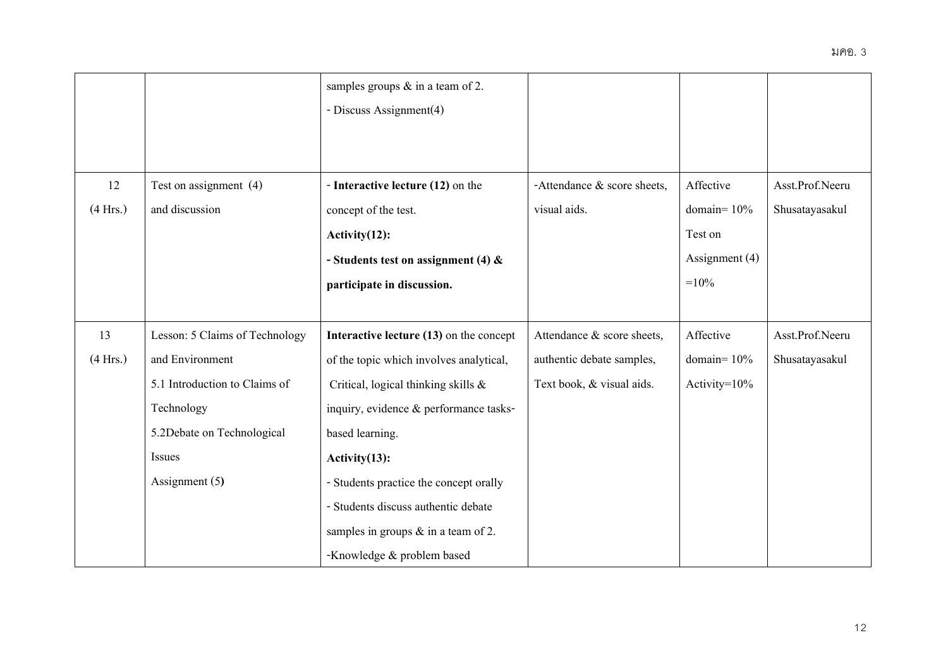|          |                                | samples groups $\&$ in a team of 2.     |                                |                |                 |
|----------|--------------------------------|-----------------------------------------|--------------------------------|----------------|-----------------|
|          |                                | - Discuss Assignment(4)                 |                                |                |                 |
|          |                                |                                         |                                |                |                 |
|          |                                |                                         |                                |                |                 |
| 12       | Test on assignment (4)         | - Interactive lecture (12) on the       | -Attendance $\&$ score sheets, | Affective      | Asst.Prof.Neeru |
| (4 Hrs.) | and discussion                 | concept of the test.                    | visual aids.                   | domain= $10\%$ | Shusatayasakul  |
|          |                                | $Activity(12)$ :                        |                                | Test on        |                 |
|          |                                | - Students test on assignment (4) $\&$  |                                | Assignment (4) |                 |
|          |                                | participate in discussion.              |                                | $=10%$         |                 |
|          |                                |                                         |                                |                |                 |
| 13       | Lesson: 5 Claims of Technology | Interactive lecture (13) on the concept | Attendance & score sheets,     | Affective      | Asst.Prof.Neeru |
| (4 Hrs.) | and Environment                | of the topic which involves analytical, | authentic debate samples,      | domain= $10%$  | Shusatayasakul  |
|          | 5.1 Introduction to Claims of  | Critical, logical thinking skills &     | Text book, & visual aids.      | Activity=10%   |                 |
|          | Technology                     | inquiry, evidence & performance tasks-  |                                |                |                 |
|          | 5.2Debate on Technological     | based learning.                         |                                |                |                 |
|          | Issues                         | Activity(13):                           |                                |                |                 |
|          | Assignment (5)                 | - Students practice the concept orally  |                                |                |                 |
|          |                                | - Students discuss authentic debate     |                                |                |                 |
|          |                                | samples in groups $\&$ in a team of 2.  |                                |                |                 |
|          |                                | -Knowledge & problem based              |                                |                |                 |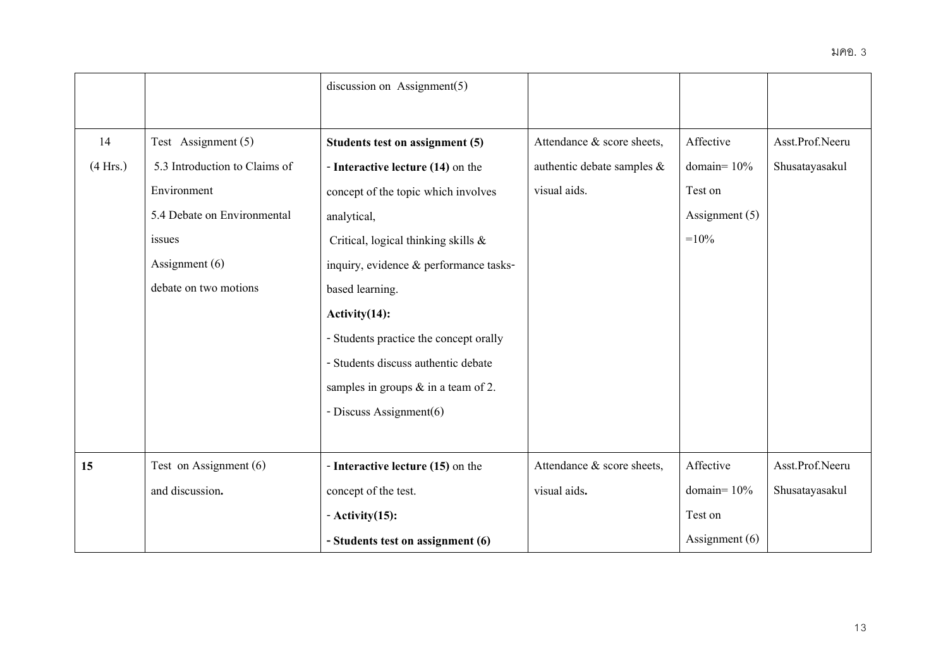|          |                               | discussion on Assignment $(5)$         |                               |                  |                 |
|----------|-------------------------------|----------------------------------------|-------------------------------|------------------|-----------------|
|          |                               |                                        |                               |                  |                 |
| 14       | Test Assignment (5)           | Students test on assignment (5)        | Attendance & score sheets,    | Affective        | Asst.Prof.Neeru |
| (4 Hrs.) | 5.3 Introduction to Claims of | - Interactive lecture (14) on the      | authentic debate samples $\&$ | domain= $10%$    | Shusatayasakul  |
|          | Environment                   | concept of the topic which involves    | visual aids.                  | Test on          |                 |
|          | 5.4 Debate on Environmental   | analytical,                            |                               | Assignment $(5)$ |                 |
|          | issues                        | Critical, logical thinking skills &    |                               | $=10%$           |                 |
|          | Assignment (6)                | inquiry, evidence & performance tasks- |                               |                  |                 |
|          | debate on two motions         | based learning.                        |                               |                  |                 |
|          |                               | $Activity(14)$ :                       |                               |                  |                 |
|          |                               | - Students practice the concept orally |                               |                  |                 |
|          |                               | - Students discuss authentic debate    |                               |                  |                 |
|          |                               | samples in groups $&$ in a team of 2.  |                               |                  |                 |
|          |                               | - Discuss Assignment(6)                |                               |                  |                 |
|          |                               |                                        |                               |                  |                 |
| 15       | Test on Assignment (6)        | - Interactive lecture (15) on the      | Attendance & score sheets,    | Affective        | Asst.Prof.Neeru |
|          | and discussion.               | concept of the test.                   | visual aids.                  | domain= $10\%$   | Shusatayasakul  |
|          |                               | $-$ Activity $(15)$ :                  |                               | Test on          |                 |
|          |                               | - Students test on assignment (6)      |                               | Assignment $(6)$ |                 |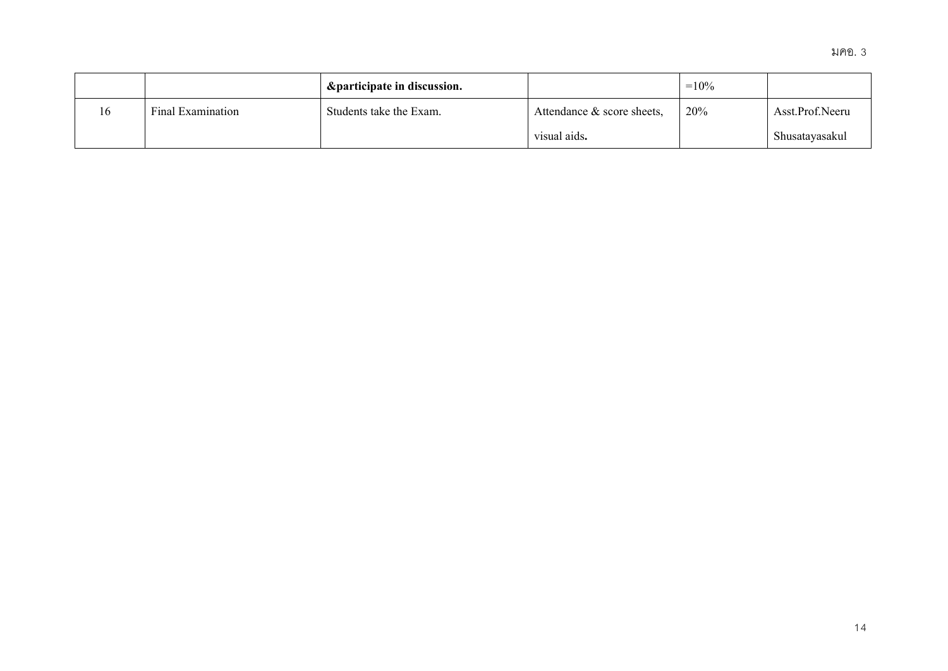|    |                   | <i><b>&amp;participate in discussion.</b></i> |                               | $=10%$ |                 |
|----|-------------------|-----------------------------------------------|-------------------------------|--------|-----------------|
| 16 | Final Examination | Students take the Exam.                       | Attendance $\&$ score sheets, | 20%    | Asst.Prof.Neeru |
|    |                   |                                               | visual aids.                  |        | Shusatayasakul  |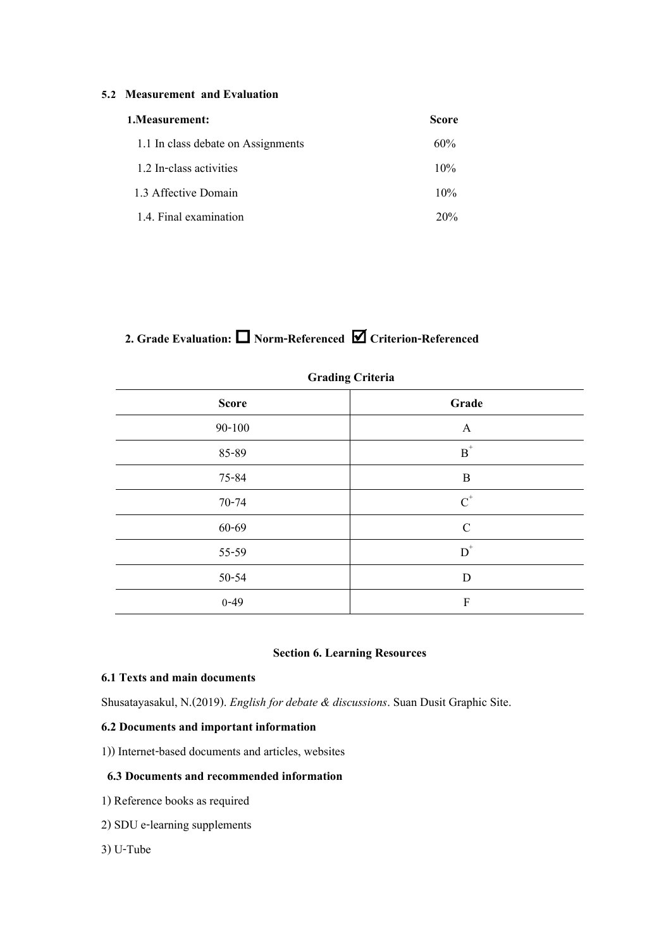## **5.2 Measurement and Evaluation**

| 1. Measurement:                    | Score  |
|------------------------------------|--------|
| 1.1 In class debate on Assignments | 60%    |
| 1.2 In-class activities            | 10%    |
| 1.3 Affective Domain               | 10%    |
| 1.4. Final examination             | $20\%$ |

# **2. Grade Evaluation: Norm-Referenced Criterion-Referenced**

| $\circ$      |                           |  |
|--------------|---------------------------|--|
| <b>Score</b> | Grade                     |  |
| $90 - 100$   | A                         |  |
| 85-89        | $\mbox{\bf B}^*$          |  |
| 75-84        | $\, {\bf B}$              |  |
| 70-74        | $\text{C}^*$              |  |
| 60-69        | $\mathbf C$               |  |
| 55-59        | $\mbox{D}^*$              |  |
| 50-54        | $\mathbf D$               |  |
| $0 - 49$     | $\boldsymbol{\mathrm{F}}$ |  |

# **Grading Criteria**

# **Section 6. Learning Resources**

# **6.1 Texts and main documents**

Shusatayasakul, N.(2019). *English for debate & discussions*. Suan Dusit Graphic Site.

## **6.2 Documents and important information**

1)) Internet-based documents and articles, websites

# **6.3 Documents and recommended information**

- 1) Reference books as required
- 2) SDU e-learning supplements
- 3) U-Tube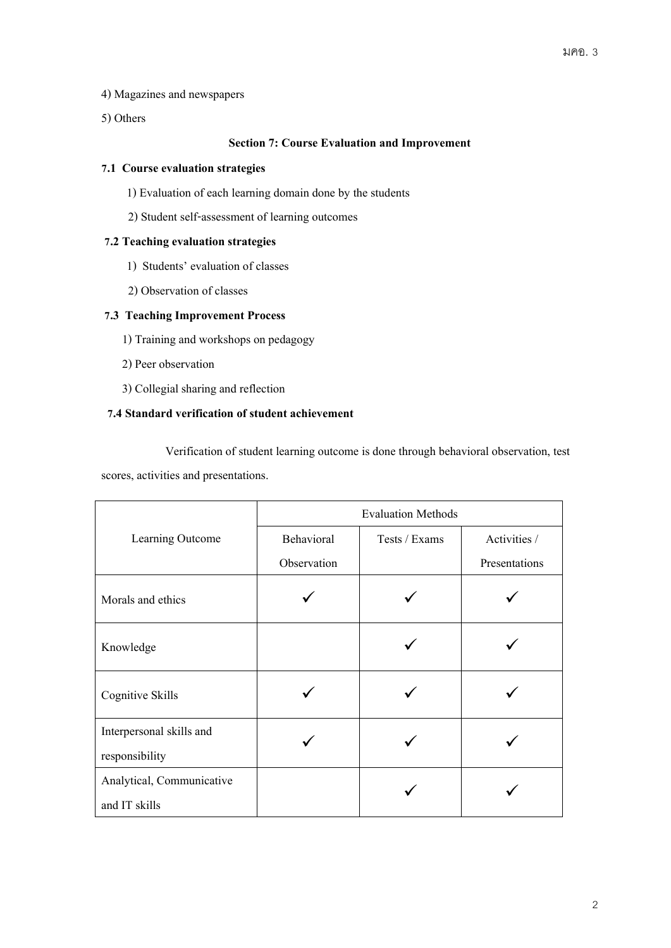- 4) Magazines and newspapers
- 5) Others

# **Section 7: Course Evaluation and Improvement**

## **7.1 Course evaluation strategies**

- 1) Evaluation of each learning domain done by the students
- 2) Student self-assessment of learning outcomes

## **7.2 Teaching evaluation strategies**

- 1) Students' evaluation of classes
- 2) Observation of classes

# **7.3 Teaching Improvement Process**

- 1) Training and workshops on pedagogy
- 2) Peer observation
- 3) Collegial sharing and reflection

# **7.4 Standard verification of student achievement**

Verification of student learning outcome is done through behavioral observation, test scores, activities and presentations.

|                           | <b>Evaluation Methods</b>   |  |               |  |  |
|---------------------------|-----------------------------|--|---------------|--|--|
| Learning Outcome          | Behavioral<br>Tests / Exams |  | Activities /  |  |  |
|                           | Observation                 |  | Presentations |  |  |
| Morals and ethics         |                             |  |               |  |  |
| Knowledge                 |                             |  |               |  |  |
| Cognitive Skills          |                             |  |               |  |  |
| Interpersonal skills and  |                             |  |               |  |  |
| responsibility            |                             |  |               |  |  |
| Analytical, Communicative |                             |  |               |  |  |
| and IT skills             |                             |  |               |  |  |